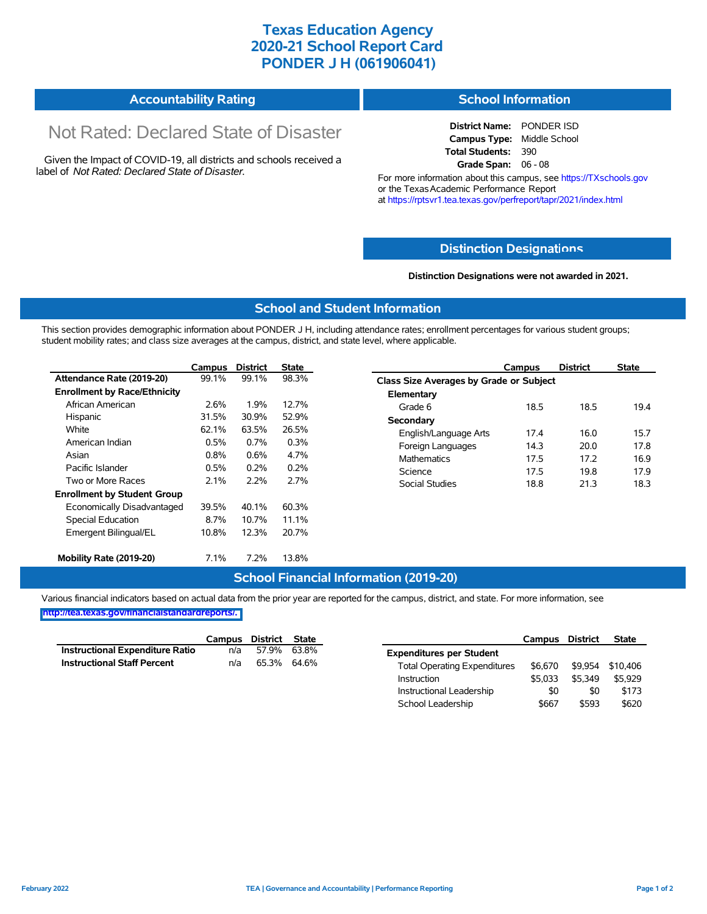## **Texas Education Agency 2020-21 School Report Card PONDER J H (061906041)**

| Accountability Rating | <b>School Information</b> |
|-----------------------|---------------------------|
|-----------------------|---------------------------|

# Not Rated: Declared State of Disaster

Given the Impact of COVID-19, all districts and schools received a label of *Not Rated: Declared State of Disaster.*

**District Name:** PONDER ISD **Campus Type:** Middle School **Total Students:** 390 **Grade Span:** 06 - 08

For more information about this campus, see https://TXschools.gov or the Texas Academic Performance Report at https://rptsvr1.tea.texas.gov/perfreport/tapr/2021/index.html

#### **Distinction Designat[ions](https://TXschools.gov)**

**Distinction Designations were not awarded in 2021.**

School Leadership  $$667$  \$593 \$620

#### **School and Student Information**

This section provides demographic information about PONDER J H, including attendance rates; enrollment percentages for various student groups; student mobility rates; and class size averages at the campus, district, and state level, where applicable.

|                                     | Campus                                          | <b>District</b>               | <b>State</b>         | Campus                                         | <b>District</b> | <b>State</b> |  |  |  |  |
|-------------------------------------|-------------------------------------------------|-------------------------------|----------------------|------------------------------------------------|-----------------|--------------|--|--|--|--|
| Attendance Rate (2019-20)           | 99.1%                                           | 99.1%                         | 98.3%                | <b>Class Size Averages by Grade or Subject</b> |                 |              |  |  |  |  |
| <b>Enrollment by Race/Ethnicity</b> |                                                 |                               |                      | Elementary                                     |                 |              |  |  |  |  |
| African American                    | 2.6%                                            | 1.9%<br>12.7%<br>Grade 6      |                      |                                                | 18.5            | 19.4         |  |  |  |  |
| Hispanic                            | 31.5%                                           | 30.9%                         | 52.9%                | Secondary                                      |                 |              |  |  |  |  |
| White                               | 62.1%<br>63.5%<br>26.5%<br>0.3%<br>0.5%<br>0.7% | 17.4<br>English/Language Arts | 16.0<br>20.0<br>17.2 | 15.7                                           |                 |              |  |  |  |  |
| American Indian                     |                                                 | Foreign Languages<br>14.3     |                      | 17.8                                           |                 |              |  |  |  |  |
| Asian                               | 0.8%<br>0.6%<br>4.7%                            |                               |                      | <b>Mathematics</b><br>17.5                     | 16.9            |              |  |  |  |  |
| Pacific Islander                    | 0.5%                                            | 0.2%                          | 0.2%                 | Science<br>17.5                                | 19.8            | 17.9         |  |  |  |  |
| Two or More Races                   | 2.1%                                            | 2.2%                          | 2.7%                 | Social Studies<br>18.8                         | 21.3            | 18.3         |  |  |  |  |
| <b>Enrollment by Student Group</b>  |                                                 |                               |                      |                                                |                 |              |  |  |  |  |
| Economically Disadvantaged          | 39.5%                                           | 40.1%                         | 60.3%                |                                                |                 |              |  |  |  |  |
| Special Education                   | 8.7%                                            | 10.7%                         | 11.1%                |                                                |                 |              |  |  |  |  |
| Emergent Bilingual/EL               | 10.8%                                           | 12.3%                         | 20.7%                |                                                |                 |              |  |  |  |  |
|                                     |                                                 |                               |                      |                                                |                 |              |  |  |  |  |
| Mobility Rate (2019-20)             | 7.1%                                            | 7.2%                          | 13.8%                |                                                |                 |              |  |  |  |  |

#### **School Financial Information (2019-20)**

Various financial indicators based on actual data from the prior year are reported for the campus, district, and state. For more information, see

**[http://tea.texas.gov/financialstandardreports/.](http://tea.texas.gov/financialstandardreports/)**

|                                        | Campus | District | <b>State</b> |                                     | Campus  | <b>District</b> | <b>State</b> |
|----------------------------------------|--------|----------|--------------|-------------------------------------|---------|-----------------|--------------|
| <b>Instructional Expenditure Ratio</b> | n/a    | 57.9%    | 63.8%        | <b>Expenditures per Student</b>     |         |                 |              |
| <b>Instructional Staff Percent</b>     | n/a    | 65.3%    | 64.6%        | <b>Total Operating Expenditures</b> | \$6.670 | \$9.954         | \$10.406     |
|                                        |        |          |              | Instruction                         | \$5.033 | \$5.349         | \$5,929      |
|                                        |        |          |              | Instructional Leadership            | \$0     | \$0             | \$173        |